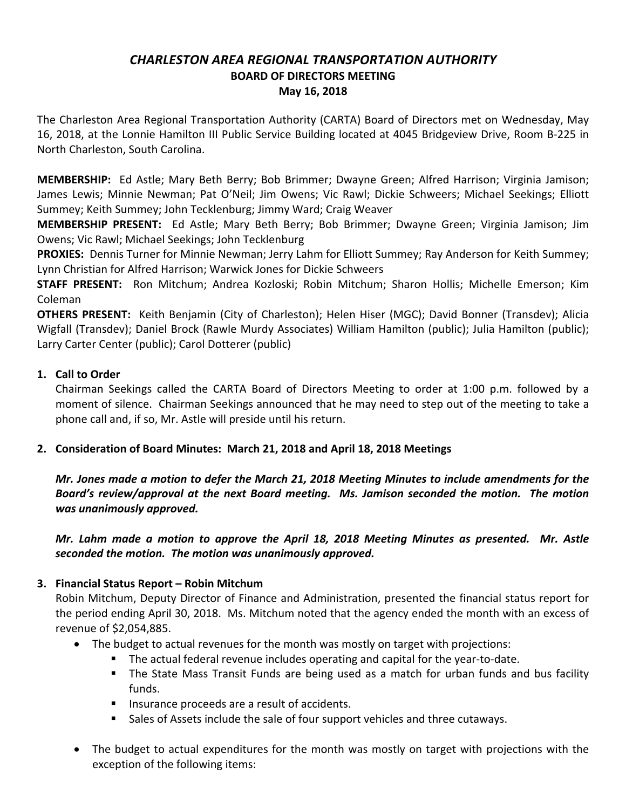# *CHARLESTON AREA REGIONAL TRANSPORTATION AUTHORITY* **BOARD OF DIRECTORS MEETING May 16, 2018**

The Charleston Area Regional Transportation Authority (CARTA) Board of Directors met on Wednesday, May 16, 2018, at the Lonnie Hamilton III Public Service Building located at 4045 Bridgeview Drive, Room B-225 in North Charleston, South Carolina.

**MEMBERSHIP:** Ed Astle; Mary Beth Berry; Bob Brimmer; Dwayne Green; Alfred Harrison; Virginia Jamison; James Lewis; Minnie Newman; Pat O'Neil; Jim Owens; Vic Rawl; Dickie Schweers; Michael Seekings; Elliott Summey; Keith Summey; John Tecklenburg; Jimmy Ward; Craig Weaver

**MEMBERSHIP PRESENT:** Ed Astle; Mary Beth Berry; Bob Brimmer; Dwayne Green; Virginia Jamison; Jim Owens; Vic Rawl; Michael Seekings; John Tecklenburg

**PROXIES:** Dennis Turner for Minnie Newman; Jerry Lahm for Elliott Summey; Ray Anderson for Keith Summey; Lynn Christian for Alfred Harrison; Warwick Jones for Dickie Schweers

**STAFF PRESENT:** Ron Mitchum; Andrea Kozloski; Robin Mitchum; Sharon Hollis; Michelle Emerson; Kim Coleman

**OTHERS PRESENT:** Keith Benjamin (City of Charleston); Helen Hiser (MGC); David Bonner (Transdev); Alicia Wigfall (Transdev); Daniel Brock (Rawle Murdy Associates) William Hamilton (public); Julia Hamilton (public); Larry Carter Center (public); Carol Dotterer (public)

## **1. Call to Order**

Chairman Seekings called the CARTA Board of Directors Meeting to order at 1:00 p.m. followed by a moment of silence. Chairman Seekings announced that he may need to step out of the meeting to take a phone call and, if so, Mr. Astle will preside until his return.

## **2. Consideration of Board Minutes: March 21, 2018 and April 18, 2018 Meetings**

*Mr. Jones made a motion to defer the March 21, 2018 Meeting Minutes to include amendments for the Board's review/approval at the next Board meeting. Ms. Jamison seconded the motion. The motion was unanimously approved.*

*Mr. Lahm made a motion to approve the April 18, 2018 Meeting Minutes as presented. Mr. Astle seconded the motion. The motion was unanimously approved.*

# **3. Financial Status Report – Robin Mitchum**

Robin Mitchum, Deputy Director of Finance and Administration, presented the financial status report for the period ending April 30, 2018. Ms. Mitchum noted that the agency ended the month with an excess of revenue of \$2,054,885.

- The budget to actual revenues for the month was mostly on target with projections:
	- § The actual federal revenue includes operating and capital for the year-to-date.
	- The State Mass Transit Funds are being used as a match for urban funds and bus facility funds.
	- Insurance proceeds are a result of accidents.
	- Sales of Assets include the sale of four support vehicles and three cutaways.
- The budget to actual expenditures for the month was mostly on target with projections with the exception of the following items: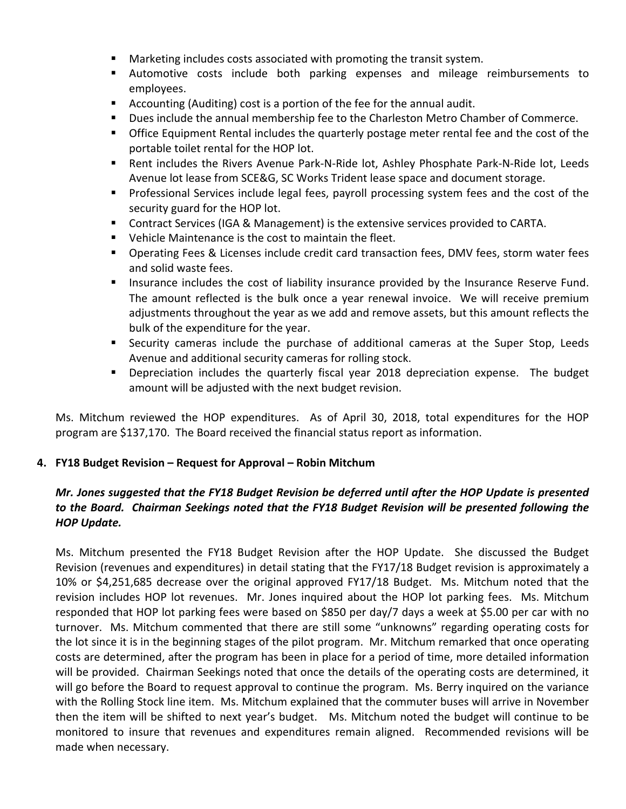- Marketing includes costs associated with promoting the transit system.
- § Automotive costs include both parking expenses and mileage reimbursements to employees.
- Accounting (Auditing) cost is a portion of the fee for the annual audit.
- § Dues include the annual membership fee to the Charleston Metro Chamber of Commerce.
- **•** Office Equipment Rental includes the quarterly postage meter rental fee and the cost of the portable toilet rental for the HOP lot.
- Rent includes the Rivers Avenue Park-N-Ride lot, Ashley Phosphate Park-N-Ride lot, Leeds Avenue lot lease from SCE&G, SC Works Trident lease space and document storage.
- Professional Services include legal fees, payroll processing system fees and the cost of the security guard for the HOP lot.
- Contract Services (IGA & Management) is the extensive services provided to CARTA.
- Vehicle Maintenance is the cost to maintain the fleet.
- Operating Fees & Licenses include credit card transaction fees, DMV fees, storm water fees and solid waste fees.
- Insurance includes the cost of liability insurance provided by the Insurance Reserve Fund. The amount reflected is the bulk once a year renewal invoice. We will receive premium adjustments throughout the year as we add and remove assets, but this amount reflects the bulk of the expenditure for the year.
- § Security cameras include the purchase of additional cameras at the Super Stop, Leeds Avenue and additional security cameras for rolling stock.
- § Depreciation includes the quarterly fiscal year 2018 depreciation expense. The budget amount will be adjusted with the next budget revision.

Ms. Mitchum reviewed the HOP expenditures. As of April 30, 2018, total expenditures for the HOP program are \$137,170. The Board received the financial status report as information.

## **4. FY18 Budget Revision – Request for Approval – Robin Mitchum**

## *Mr. Jones suggested that the FY18 Budget Revision be deferred until after the HOP Update is presented to the Board. Chairman Seekings noted that the FY18 Budget Revision will be presented following the HOP Update.*

Ms. Mitchum presented the FY18 Budget Revision after the HOP Update. She discussed the Budget Revision (revenues and expenditures) in detail stating that the FY17/18 Budget revision is approximately a 10% or \$4,251,685 decrease over the original approved FY17/18 Budget. Ms. Mitchum noted that the revision includes HOP lot revenues. Mr. Jones inquired about the HOP lot parking fees. Ms. Mitchum responded that HOP lot parking fees were based on \$850 per day/7 days a week at \$5.00 per car with no turnover. Ms. Mitchum commented that there are still some "unknowns" regarding operating costs for the lot since it is in the beginning stages of the pilot program. Mr. Mitchum remarked that once operating costs are determined, after the program has been in place for a period of time, more detailed information will be provided. Chairman Seekings noted that once the details of the operating costs are determined, it will go before the Board to request approval to continue the program. Ms. Berry inquired on the variance with the Rolling Stock line item. Ms. Mitchum explained that the commuter buses will arrive in November then the item will be shifted to next year's budget. Ms. Mitchum noted the budget will continue to be monitored to insure that revenues and expenditures remain aligned. Recommended revisions will be made when necessary.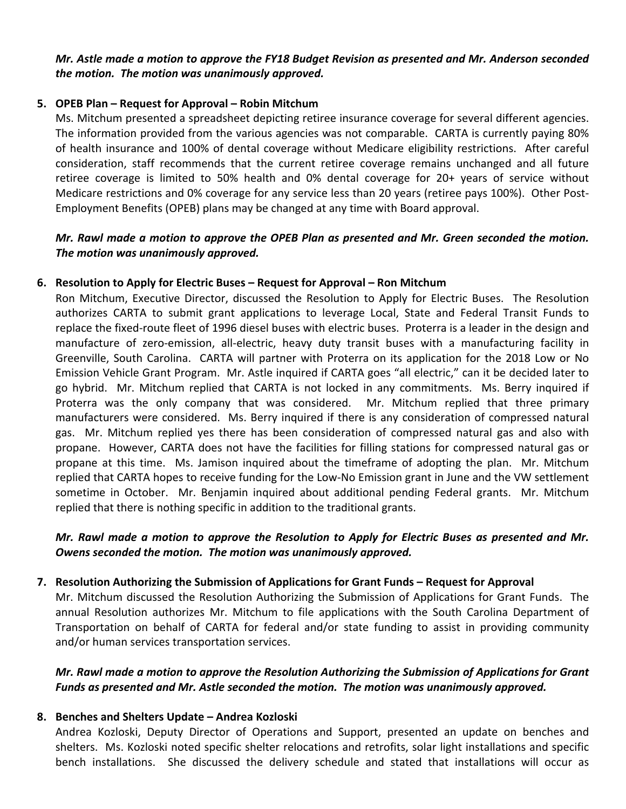#### *Mr. Astle made a motion to approve the FY18 Budget Revision as presented and Mr. Anderson seconded the motion. The motion was unanimously approved.*

#### **5. OPEB Plan – Request for Approval – Robin Mitchum**

Ms. Mitchum presented a spreadsheet depicting retiree insurance coverage for several different agencies. The information provided from the various agencies was not comparable. CARTA is currently paying 80% of health insurance and 100% of dental coverage without Medicare eligibility restrictions. After careful consideration, staff recommends that the current retiree coverage remains unchanged and all future retiree coverage is limited to 50% health and 0% dental coverage for 20+ years of service without Medicare restrictions and 0% coverage for any service less than 20 years (retiree pays 100%). Other Post-Employment Benefits (OPEB) plans may be changed at any time with Board approval.

## *Mr. Rawl made a motion to approve the OPEB Plan as presented and Mr. Green seconded the motion. The motion was unanimously approved.*

#### **6. Resolution to Apply for Electric Buses – Request for Approval – Ron Mitchum**

Ron Mitchum, Executive Director, discussed the Resolution to Apply for Electric Buses. The Resolution authorizes CARTA to submit grant applications to leverage Local, State and Federal Transit Funds to replace the fixed-route fleet of 1996 diesel buses with electric buses. Proterra is a leader in the design and manufacture of zero-emission, all-electric, heavy duty transit buses with a manufacturing facility in Greenville, South Carolina. CARTA will partner with Proterra on its application for the 2018 Low or No Emission Vehicle Grant Program. Mr. Astle inquired if CARTA goes "all electric," can it be decided later to go hybrid. Mr. Mitchum replied that CARTA is not locked in any commitments. Ms. Berry inquired if Proterra was the only company that was considered. Mr. Mitchum replied that three primary manufacturers were considered. Ms. Berry inquired if there is any consideration of compressed natural gas. Mr. Mitchum replied yes there has been consideration of compressed natural gas and also with propane. However, CARTA does not have the facilities for filling stations for compressed natural gas or propane at this time. Ms. Jamison inquired about the timeframe of adopting the plan. Mr. Mitchum replied that CARTA hopes to receive funding for the Low-No Emission grant in June and the VW settlement sometime in October. Mr. Benjamin inquired about additional pending Federal grants. Mr. Mitchum replied that there is nothing specific in addition to the traditional grants.

#### *Mr. Rawl made a motion to approve the Resolution to Apply for Electric Buses as presented and Mr. Owens seconded the motion. The motion was unanimously approved.*

## **7. Resolution Authorizing the Submission of Applications for Grant Funds – Request for Approval**

Mr. Mitchum discussed the Resolution Authorizing the Submission of Applications for Grant Funds. The annual Resolution authorizes Mr. Mitchum to file applications with the South Carolina Department of Transportation on behalf of CARTA for federal and/or state funding to assist in providing community and/or human services transportation services.

## *Mr. Rawl made a motion to approve the Resolution Authorizing the Submission of Applications for Grant Funds as presented and Mr. Astle seconded the motion. The motion was unanimously approved.*

## **8. Benches and Shelters Update – Andrea Kozloski**

Andrea Kozloski, Deputy Director of Operations and Support, presented an update on benches and shelters. Ms. Kozloski noted specific shelter relocations and retrofits, solar light installations and specific bench installations. She discussed the delivery schedule and stated that installations will occur as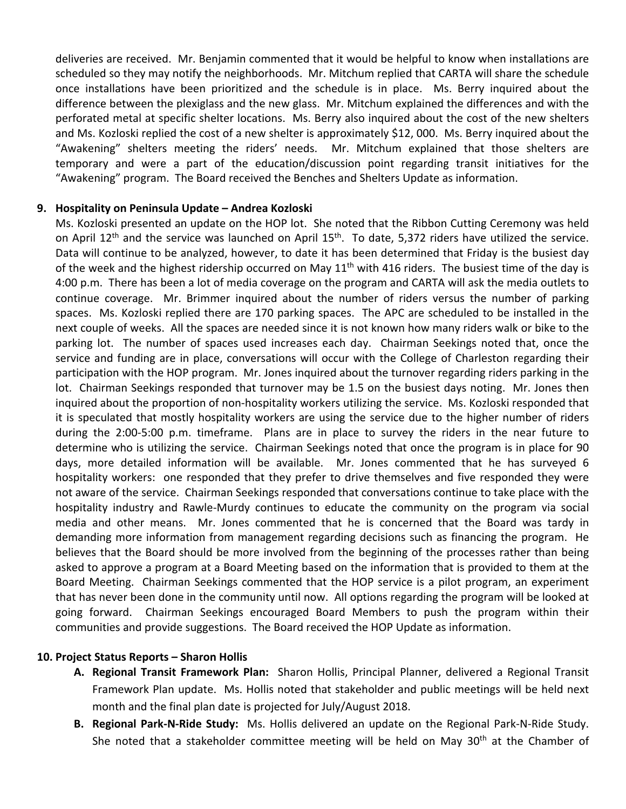deliveries are received. Mr. Benjamin commented that it would be helpful to know when installations are scheduled so they may notify the neighborhoods. Mr. Mitchum replied that CARTA will share the schedule once installations have been prioritized and the schedule is in place. Ms. Berry inquired about the difference between the plexiglass and the new glass. Mr. Mitchum explained the differences and with the perforated metal at specific shelter locations. Ms. Berry also inquired about the cost of the new shelters and Ms. Kozloski replied the cost of a new shelter is approximately \$12, 000. Ms. Berry inquired about the "Awakening" shelters meeting the riders' needs. Mr. Mitchum explained that those shelters are temporary and were a part of the education/discussion point regarding transit initiatives for the "Awakening" program. The Board received the Benches and Shelters Update as information.

#### **9. Hospitality on Peninsula Update – Andrea Kozloski**

Ms. Kozloski presented an update on the HOP lot. She noted that the Ribbon Cutting Ceremony was held on April  $12<sup>th</sup>$  and the service was launched on April  $15<sup>th</sup>$ . To date, 5,372 riders have utilized the service. Data will continue to be analyzed, however, to date it has been determined that Friday is the busiest day of the week and the highest ridership occurred on May  $11<sup>th</sup>$  with 416 riders. The busiest time of the day is 4:00 p.m. There has been a lot of media coverage on the program and CARTA will ask the media outlets to continue coverage. Mr. Brimmer inquired about the number of riders versus the number of parking spaces. Ms. Kozloski replied there are 170 parking spaces. The APC are scheduled to be installed in the next couple of weeks. All the spaces are needed since it is not known how many riders walk or bike to the parking lot. The number of spaces used increases each day. Chairman Seekings noted that, once the service and funding are in place, conversations will occur with the College of Charleston regarding their participation with the HOP program. Mr. Jones inquired about the turnover regarding riders parking in the lot. Chairman Seekings responded that turnover may be 1.5 on the busiest days noting. Mr. Jones then inquired about the proportion of non-hospitality workers utilizing the service. Ms. Kozloski responded that it is speculated that mostly hospitality workers are using the service due to the higher number of riders during the 2:00-5:00 p.m. timeframe. Plans are in place to survey the riders in the near future to determine who is utilizing the service. Chairman Seekings noted that once the program is in place for 90 days, more detailed information will be available. Mr. Jones commented that he has surveyed 6 hospitality workers: one responded that they prefer to drive themselves and five responded they were not aware of the service. Chairman Seekings responded that conversations continue to take place with the hospitality industry and Rawle-Murdy continues to educate the community on the program via social media and other means. Mr. Jones commented that he is concerned that the Board was tardy in demanding more information from management regarding decisions such as financing the program. He believes that the Board should be more involved from the beginning of the processes rather than being asked to approve a program at a Board Meeting based on the information that is provided to them at the Board Meeting. Chairman Seekings commented that the HOP service is a pilot program, an experiment that has never been done in the community until now. All options regarding the program will be looked at going forward. Chairman Seekings encouraged Board Members to push the program within their communities and provide suggestions. The Board received the HOP Update as information.

#### **10. Project Status Reports – Sharon Hollis**

- **A. Regional Transit Framework Plan:** Sharon Hollis, Principal Planner, delivered a Regional Transit Framework Plan update. Ms. Hollis noted that stakeholder and public meetings will be held next month and the final plan date is projected for July/August 2018.
- **B. Regional Park-N-Ride Study:** Ms. Hollis delivered an update on the Regional Park-N-Ride Study. She noted that a stakeholder committee meeting will be held on May 30<sup>th</sup> at the Chamber of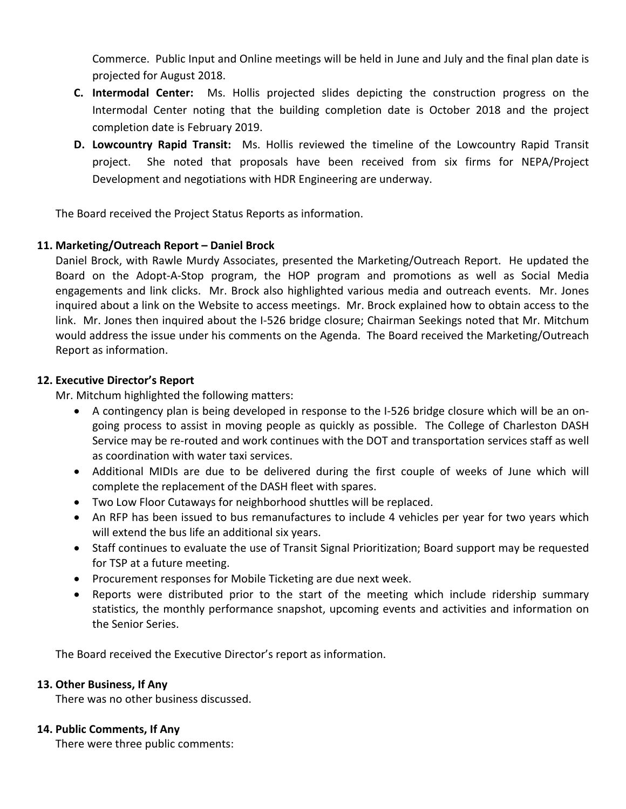Commerce. Public Input and Online meetings will be held in June and July and the final plan date is projected for August 2018.

- **C. Intermodal Center:** Ms. Hollis projected slides depicting the construction progress on the Intermodal Center noting that the building completion date is October 2018 and the project completion date is February 2019.
- **D. Lowcountry Rapid Transit:** Ms. Hollis reviewed the timeline of the Lowcountry Rapid Transit project. She noted that proposals have been received from six firms for NEPA/Project Development and negotiations with HDR Engineering are underway.

The Board received the Project Status Reports as information.

## **11. Marketing/Outreach Report – Daniel Brock**

Daniel Brock, with Rawle Murdy Associates, presented the Marketing/Outreach Report. He updated the Board on the Adopt-A-Stop program, the HOP program and promotions as well as Social Media engagements and link clicks. Mr. Brock also highlighted various media and outreach events. Mr. Jones inquired about a link on the Website to access meetings. Mr. Brock explained how to obtain access to the link. Mr. Jones then inquired about the I-526 bridge closure; Chairman Seekings noted that Mr. Mitchum would address the issue under his comments on the Agenda. The Board received the Marketing/Outreach Report as information.

#### **12. Executive Director's Report**

Mr. Mitchum highlighted the following matters:

- A contingency plan is being developed in response to the I-526 bridge closure which will be an ongoing process to assist in moving people as quickly as possible. The College of Charleston DASH Service may be re-routed and work continues with the DOT and transportation services staff as well as coordination with water taxi services.
- Additional MIDIs are due to be delivered during the first couple of weeks of June which will complete the replacement of the DASH fleet with spares.
- Two Low Floor Cutaways for neighborhood shuttles will be replaced.
- An RFP has been issued to bus remanufactures to include 4 vehicles per year for two years which will extend the bus life an additional six years.
- Staff continues to evaluate the use of Transit Signal Prioritization; Board support may be requested for TSP at a future meeting.
- Procurement responses for Mobile Ticketing are due next week.
- Reports were distributed prior to the start of the meeting which include ridership summary statistics, the monthly performance snapshot, upcoming events and activities and information on the Senior Series.

The Board received the Executive Director's report as information.

#### **13. Other Business, If Any**

There was no other business discussed.

## **14. Public Comments, If Any**

There were three public comments: